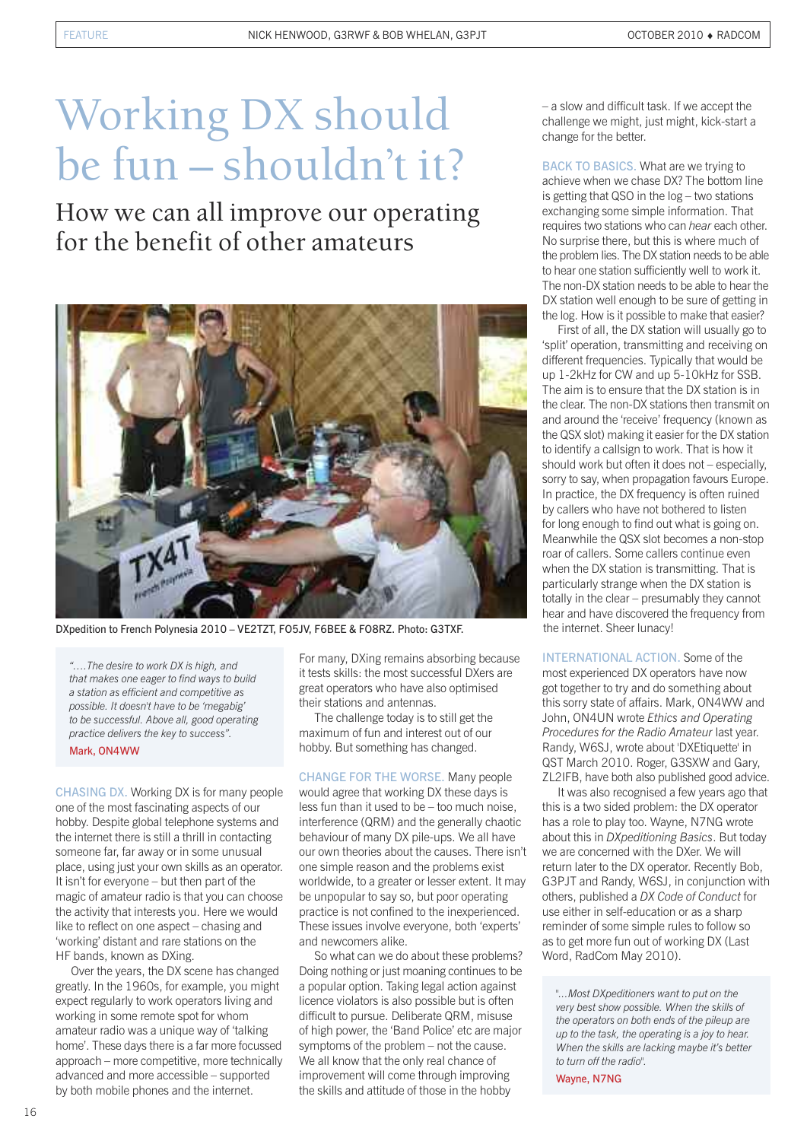# Working DX should be fun – shouldn't it?

How we can all improve our operating for the benefit of other amateurs



DXpedition to French Polynesia 2010 – VE2TZT, FO5JV, F6BEE & FO8RZ. Photo: G3TXF.

*"….The desire to work DX is high, and that makes one eager to find ways to build a station as efficient and competitive as possible. It doesn't have to be 'megabig' to be successful. Above all, good operating practice delivers the key to success".* Mark, ON4WW

CHASING DX. Working DX is for many people one of the most fascinating aspects of our hobby. Despite global telephone systems and the internet there is still a thrill in contacting someone far, far away or in some unusual place, using just your own skills as an operator. It isn't for everyone – but then part of the magic of amateur radio is that you can choose the activity that interests you. Here we would like to reflect on one aspect – chasing and 'working' distant and rare stations on the HF bands, known as DXing.

Over the years, the DX scene has changed greatly. In the 1960s, for example, you might expect regularly to work operators living and working in some remote spot for whom amateur radio was a unique way of 'talking home'. These days there is a far more focussed approach – more competitive, more technically advanced and more accessible – supported by both mobile phones and the internet.

For many, DXing remains absorbing because it tests skills: the most successful DXers are great operators who have also optimised their stations and antennas.

The challenge today is to still get the maximum of fun and interest out of our hobby. But something has changed.

CHANGE FOR THE WORSE. Many people would agree that working DX these days is less fun than it used to be – too much noise, interference (QRM) and the generally chaotic behaviour of many DX pile-ups. We all have our own theories about the causes. There isn't one simple reason and the problems exist worldwide, to a greater or lesser extent. It may be unpopular to say so, but poor operating practice is not confined to the inexperienced. These issues involve everyone, both 'experts' and newcomers alike.

So what can we do about these problems? Doing nothing or just moaning continues to be a popular option. Taking legal action against licence violators is also possible but is often difficult to pursue. Deliberate QRM, misuse of high power, the 'Band Police' etc are major symptoms of the problem – not the cause. We all know that the only real chance of improvement will come through improving the skills and attitude of those in the hobby

– a slow and difficult task. If we accept the challenge we might, just might, kick-start a change for the better.

BACK TO BASICS. What are we trying to achieve when we chase DX? The bottom line is getting that QSO in the log – two stations exchanging some simple information. That requires two stations who can *hear* each other. No surprise there, but this is where much of the problem lies. The DX station needs to be able to hear one station sufficiently well to work it. The non-DX station needs to be able to hear the DX station well enough to be sure of getting in the log. How is it possible to make that easier?

First of all, the DX station will usually go to 'split' operation, transmitting and receiving on different frequencies. Typically that would be up 1-2kHz for CW and up 5-10kHz for SSB. The aim is to ensure that the DX station is in the clear. The non-DX stations then transmit on and around the 'receive' frequency (known as the QSX slot) making it easier for the DX station to identify a callsign to work. That is how it should work but often it does not – especially, sorry to say, when propagation favours Europe. In practice, the DX frequency is often ruined by callers who have not bothered to listen for long enough to find out what is going on. Meanwhile the QSX slot becomes a non-stop roar of callers. Some callers continue even when the DX station is transmitting. That is particularly strange when the DX station is totally in the clear – presumably they cannot hear and have discovered the frequency from the internet. Sheer lunacy!

INTERNATIONAL ACTION. Some of the most experienced DX operators have now got together to try and do something about this sorry state of affairs. Mark, ON4WW and John, ON4UN wrote *Ethics and Operating Procedures for the Radio Amateur* last year. Randy, W6SJ, wrote about 'DXEtiquette' in QST March 2010. Roger, G3SXW and Gary, ZL2IFB, have both also published good advice.

It was also recognised a few years ago that this is a two sided problem: the DX operator has a role to play too. Wayne, N7NG wrote about this in *DXpeditioning Basics*. But today we are concerned with the DXer. We will return later to the DX operator. Recently Bob, G3PJT and Randy, W6SJ, in conjunction with others, published a *DX Code of Conduct* for use either in self-education or as a sharp reminder of some simple rules to follow so as to get more fun out of working DX (Last Word, RadCom May 2010).

Wayne, N7NG

*<sup>&</sup>quot;...Most DXpeditioners want to put on the very best show possible. When the skills of the operators on both ends of the pileup are up to the task, the operating is a joy to hear. When the skills are lacking maybe it's better to turn off the radio".*